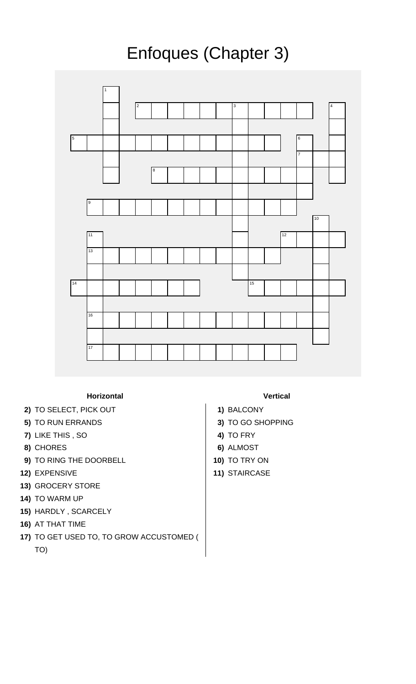## Enfoques (Chapter 3)



## **Horizontal Vertical**

- **2)** TO SELECT, PICK OUT **1)** BALCONY
- **5)** TO RUN ERRANDS **3)** TO GO SHOPPING
- **7)** LIKE THIS , SO **4)** TO FRY
- **8)** CHORES **6)** ALMOST
- **9)** TO RING THE DOORBELL **10** 10 TO TRY ON
- **12)** EXPENSIVE **11)** STAIRCASE
- **13)** GROCERY STORE
- **14)** TO WARM UP
- **15)** HARDLY , SCARCELY
- **16)** AT THAT TIME
- **17)** TO GET USED TO, TO GROW ACCUSTOMED (
	- TO)

- 
- 
- 
- 
- 
-